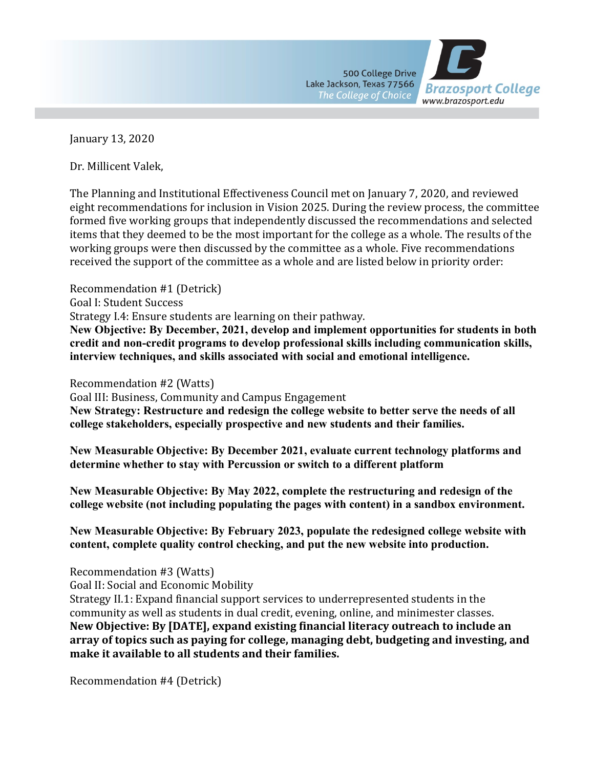

January 13, 2020

Dr. Millicent Valek,

The Planning and Institutional Effectiveness Council met on January 7, 2020, and reviewed eight recommendations for inclusion in Vision 2025. During the review process, the committee formed five working groups that independently discussed the recommendations and selected items that they deemed to be the most important for the college as a whole. The results of the working groups were then discussed by the committee as a whole. Five recommendations received the support of the committee as a whole and are listed below in priority order:

Recommendation #1 (Detrick) Goal I: Student Success Strategy I.4: Ensure students are learning on their pathway.

**New Objective: By December, 2021, develop and implement opportunities for students in both credit and non-credit programs to develop professional skills including communication skills, interview techniques, and skills associated with social and emotional intelligence.**

Recommendation #2 (Watts)

Goal III: Business, Community and Campus Engagement

**New Strategy: Restructure and redesign the college website to better serve the needs of all college stakeholders, especially prospective and new students and their families.**

**New Measurable Objective: By December 2021, evaluate current technology platforms and determine whether to stay with Percussion or switch to a different platform**

**New Measurable Objective: By May 2022, complete the restructuring and redesign of the college website (not including populating the pages with content) in a sandbox environment.**

**New Measurable Objective: By February 2023, populate the redesigned college website with content, complete quality control checking, and put the new website into production.**

Recommendation #3 (Watts)

Goal II: Social and Economic Mobility

Strategy II.1: Expand financial support services to underrepresented students in the community as well as students in dual credit, evening, online, and minimester classes. **New Objective: By [DATE], expand existing financial literacy outreach to include an array of topics such as paying for college, managing debt, budgeting and investing, and make it available to all students and their families.**

Recommendation #4 (Detrick)